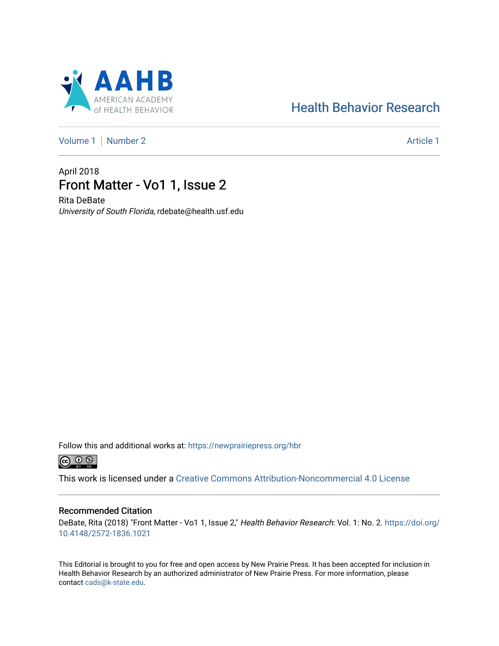# AHB  $\Delta$ **AMERICAN ACADEMY**

# [Health Behavior Research](https://newprairiepress.org/hbr)

[Volume 1](https://newprairiepress.org/hbr/vol1) | [Number 2](https://newprairiepress.org/hbr/vol1/iss2) Article 1

# April 2018 Front Matter - Vo1 1, Issue 2

Rita DeBate University of South Florida, rdebate@health.usf.edu

Follow this and additional works at: [https://newprairiepress.org/hbr](https://newprairiepress.org/hbr?utm_source=newprairiepress.org%2Fhbr%2Fvol1%2Fiss2%2F1&utm_medium=PDF&utm_campaign=PDFCoverPages) 



This work is licensed under a [Creative Commons Attribution-Noncommercial 4.0 License](https://creativecommons.org/licenses/by-nc/4.0/)

## Recommended Citation

DeBate, Rita (2018) "Front Matter - Vo1 1, Issue 2," Health Behavior Research: Vol. 1: No. 2. [https://doi.org/](https://doi.org/10.4148/2572-1836.1021) [10.4148/2572-1836.1021](https://doi.org/10.4148/2572-1836.1021)

This Editorial is brought to you for free and open access by New Prairie Press. It has been accepted for inclusion in Health Behavior Research by an authorized administrator of New Prairie Press. For more information, please contact [cads@k-state.edu](mailto:cads@k-state.edu).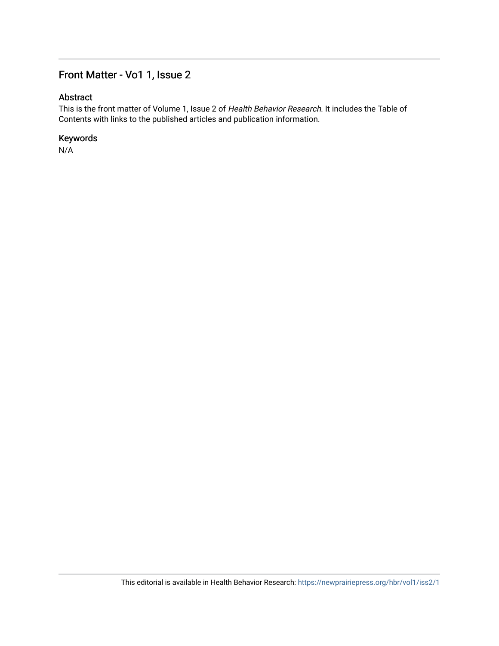## Front Matter - Vo1 1, Issue 2

## Abstract

This is the front matter of Volume 1, Issue 2 of Health Behavior Research. It includes the Table of Contents with links to the published articles and publication information.

## Keywords

N/A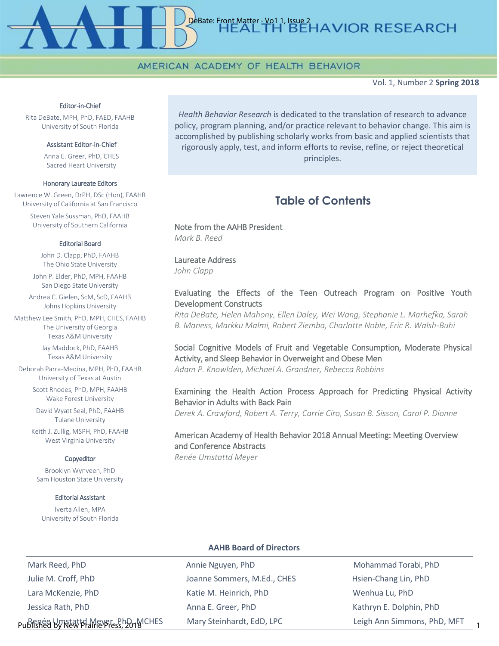## AMERICAN ACADEMY OF HEALTH BEHAVIOR

Vol. 1, Number 2 **Spring 2018**

#### Editor-in-Chief

Rita DeBate, MPH, PhD, FAED, FAAHB University of South Florida

#### Assistant Editor-in-Chief

Anna E. Greer, PhD, CHES Sacred Heart University

#### Honorary Laureate Editors

Lawrence W. Green, DrPH, DSc (Hon), FAAHB University of California at San Francisco Steven Yale Sussman, PhD, FAAHB University of Southern California

#### Editorial Board

John D. Clapp, PhD, FAAHB The Ohio State University

John P. Elder, PhD, MPH, FAAHB San Diego State University

Andrea C. Gielen, ScM, ScD, FAAHB Johns Hopkins University

Matthew Lee Smith, PhD, MPH, CHES, FAAHB The University of Georgia Texas A&M University

> Jay Maddock, PhD, FAAHB Texas A&M University

Deborah Parra-Medina, MPH, PhD, FAAHB University of Texas at Austin

> Scott Rhodes, PhD, MPH, FAAHB Wake Forest University

David Wyatt Seal, PhD, FAAHB Tulane University

Keith J. Zullig, MSPH, PhD, FAAHB West Virginia University

#### Copyeditor

Brooklyn Wynveen, PhD Sam Houston State University

#### Editorial Assistant

Iverta Allen, MPA University of South Florida

*Health Behavior Research* is dedicated to the translation of research to advance policy, program planning, and/or practice relevant to behavior change. This aim is accomplished by publishing scholarly works from basic and applied scientists that rigorously apply, test, and inform efforts to revise, refine, or reject theoretical principles.

DeBate: Front Matter - Vo1 1, Issue 2<br>HEALTH BEHAVIOR RESEARCH

## **Table of Contents**

### Note from the AAHB President *Mark B. Reed*

## Laureate Address

*John Clapp*

## Evaluating the Effects of the Teen Outreach Program on Positive Youth Development Constructs

*Rita DeBate, Helen Mahony, Ellen Daley, Wei Wang, Stephanie L. Marhefka, Sarah B. Maness, Markku Malmi, Robert Ziemba, Charlotte Noble, Eric R. Walsh-Buhi*

## Social Cognitive Models of Fruit and Vegetable Consumption, Moderate Physical Activity, and Sleep Behavior in Overweight and Obese Men *Adam P. Knowlden, Michael A. Grandner, Rebecca Robbins*

## Examining the Health Action Process Approach for Predicting Physical Activity Behavior in Adults with Back Pain

*Derek A. Crawford, Robert A. Terry, Carrie Ciro, Susan B. Sisson, Carol P. Dionne*

## American Academy of Health Behavior 2018 Annual Meeting: Meeting Overview and Conference Abstracts

*Renée Umstattd Meyer*

## **AAHB Board of Directors**

Mark Reed, PhD **Annie Nguyen, PhD** Annie Nguyen, PhD Mohammad Torabi, PhD Julie M. Croff, PhD **Sommers, M.Ed., CHES** Hsien-Chang Lin, PhD Lara McKenzie, PhD Katie M. Heinrich, PhD Wenhua Lu, PhD Jessica Rath, PhD Anna E. Greer, PhD Kathryn E. Dolphin, PhD Publishéd by New Player, ይከታ<sub>ለተ</sub> MCHES Mary Steinhardt, EdD, LPC **Produce Leigh Ann Simmons, PhD, MFT** 1